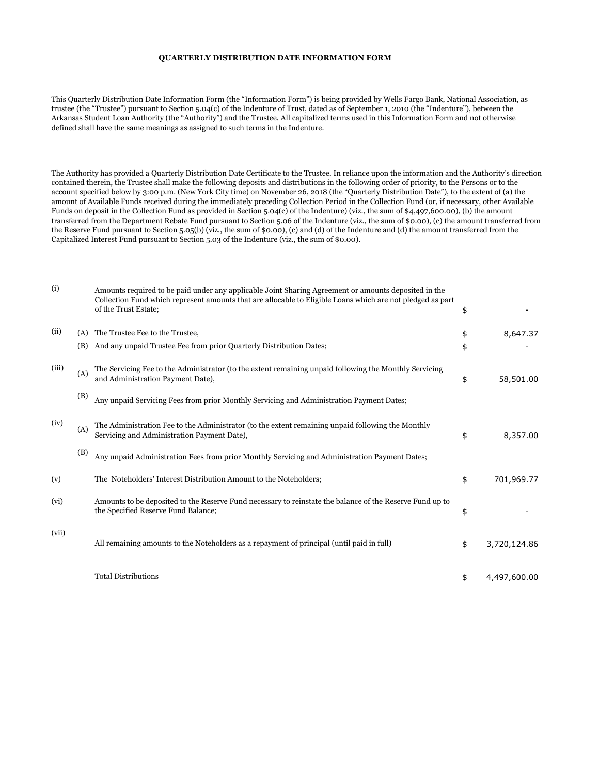## **QUARTERLY DISTRIBUTION DATE INFORMATION FORM**

This Quarterly Distribution Date Information Form (the "Information Form") is being provided by Wells Fargo Bank, National Association, as trustee (the "Trustee") pursuant to Section 5.04(c) of the Indenture of Trust, dated as of September 1, 2010 (the "Indenture"), between the Arkansas Student Loan Authority (the "Authority") and the Trustee. All capitalized terms used in this Information Form and not otherwise defined shall have the same meanings as assigned to such terms in the Indenture.

The Authority has provided a Quarterly Distribution Date Certificate to the Trustee. In reliance upon the information and the Authority's direction contained therein, the Trustee shall make the following deposits and distributions in the following order of priority, to the Persons or to the account specified below by 3:00 p.m. (New York City time) on November 26, 2018 (the "Quarterly Distribution Date"), to the extent of (a) the amount of Available Funds received during the immediately preceding Collection Period in the Collection Fund (or, if necessary, other Available Funds on deposit in the Collection Fund as provided in Section 5.04(c) of the Indenture) (viz., the sum of \$4,497,600.00), (b) the amount transferred from the Department Rebate Fund pursuant to Section 5.06 of the Indenture (viz., the sum of \$0.00), (c) the amount transferred from the Reserve Fund pursuant to Section 5.05(b) (viz., the sum of \$0.00), (c) and (d) of the Indenture and (d) the amount transferred from the Capitalized Interest Fund pursuant to Section 5.03 of the Indenture (viz., the sum of \$0.00).

| (i)   |     | Amounts required to be paid under any applicable Joint Sharing Agreement or amounts deposited in the<br>Collection Fund which represent amounts that are allocable to Eligible Loans which are not pledged as part<br>of the Trust Estate: | \$                 |
|-------|-----|--------------------------------------------------------------------------------------------------------------------------------------------------------------------------------------------------------------------------------------------|--------------------|
| (ii)  | (A) | The Trustee Fee to the Trustee,                                                                                                                                                                                                            | \$<br>8,647.37     |
|       | (B) | And any unpaid Trustee Fee from prior Quarterly Distribution Dates;                                                                                                                                                                        | \$                 |
| (iii) | (A) | The Servicing Fee to the Administrator (to the extent remaining unpaid following the Monthly Servicing<br>and Administration Payment Date),                                                                                                | \$<br>58,501.00    |
|       | (B) | Any unpaid Servicing Fees from prior Monthly Servicing and Administration Payment Dates;                                                                                                                                                   |                    |
| (iv)  | (A) | The Administration Fee to the Administrator (to the extent remaining unpaid following the Monthly<br>Servicing and Administration Payment Date),                                                                                           | \$<br>8,357.00     |
|       | (B) | Any unpaid Administration Fees from prior Monthly Servicing and Administration Payment Dates;                                                                                                                                              |                    |
| (v)   |     | The Noteholders' Interest Distribution Amount to the Noteholders;                                                                                                                                                                          | \$<br>701,969.77   |
| (vi)  |     | Amounts to be deposited to the Reserve Fund necessary to reinstate the balance of the Reserve Fund up to<br>the Specified Reserve Fund Balance;                                                                                            | \$                 |
| (vii) |     | All remaining amounts to the Noteholders as a repayment of principal (until paid in full)                                                                                                                                                  | \$<br>3,720,124.86 |
|       |     | <b>Total Distributions</b>                                                                                                                                                                                                                 | \$<br>4,497,600.00 |